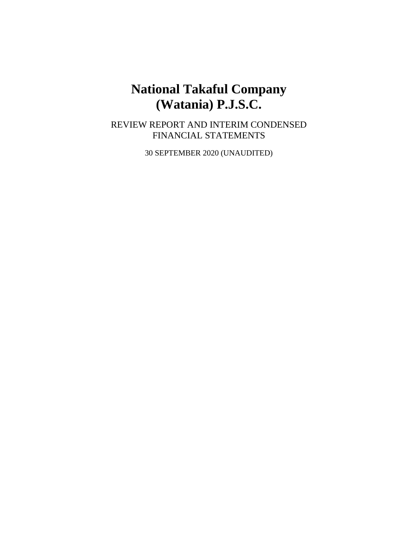# **National Takaful Company (Watania) P.J.S.C.**

REVIEW REPORT AND INTERIM CONDENSED FINANCIAL STATEMENTS

30 SEPTEMBER 2020 (UNAUDITED)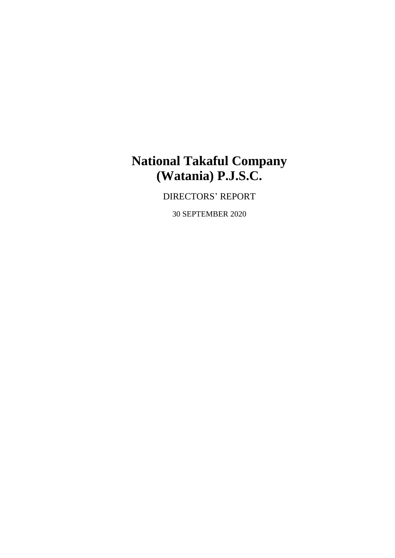# **National Takaful Company (Watania) P.J.S.C.**

DIRECTORS' REPORT

30 SEPTEMBER 2020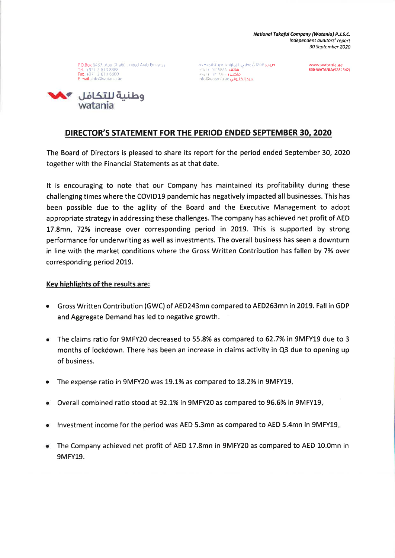National Takaful Company (Watania) P.J.S.C. Independent auditors' report 30 September 2020

P.O. Box 6457, Abu Dhabi, United Arab Emirates Tel +971 2 613 8888<br>Fax +971 2 613 8800 E-mail info@watania ae

**ص.ب**. ۱٤٥٧، أبوطبي، الإمارات العربية المتحدة<br>ه**اتف ١**٤٨٨ / ١٧١٢ فاكس ١١٢ ١١٨ ١١٢ info@watania ae بريد إلكتروني

www.watania.ae 800-WATANIA(9282642)



## DIRECTOR'S STATEMENT FOR THE PERIOD ENDED SEPTEMBER 30, 2020

The Board of Directors is pleased to share its report for the period ended September 30, 2020 together with the Financial Statements as at that date.

It is encouraging to note that our Company has maintained its profitability during these challenging times where the COVID19 pandemic has negatively impacted all businesses. This has been possible due to the agility of the Board and the Executive Management to adopt appropriate strategy in addressing these challenges. The company has achieved net profit of AED 17.8mn, 72% increase over corresponding period in 2019. This is supported by strong performance for underwriting as well as investments. The overall business has seen a downturn in line with the market conditions where the Gross Written Contribution has fallen by 7% over corresponding period 2019.

#### Key highlights of the results are:

- Gross Written Contribution (GWC) of AED243mn compared to AED263mn in 2019. Fall in GDP and Aggregate Demand has led to negative growth.
- The claims ratio for 9MFY20 decreased to 55.8% as compared to 62.7% in 9MFY19 due to 3  $\bullet$ months of lockdown. There has been an increase in claims activity in Q3 due to opening up of business.
- The expense ratio in 9MFY20 was 19.1% as compared to 18.2% in 9MFY19.
- Overall combined ratio stood at 92.1% in 9MFY20 as compared to 96.6% in 9MFY19.
- Investment income for the period was AED 5.3mn as compared to AED 5.4mn in 9MFY19.
- The Company achieved net profit of AED 17.8mn in 9MFY20 as compared to AED 10.0mn in **9MFY19.**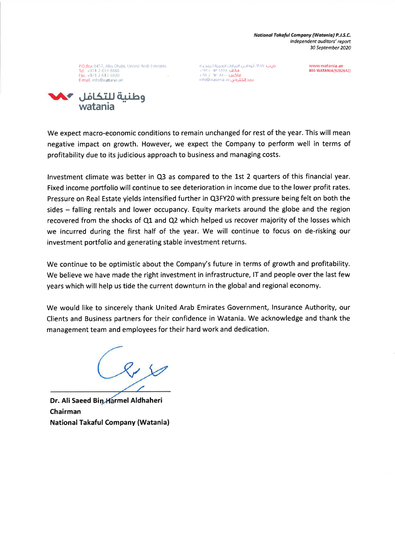National Takaful Company (Watania) P.J.S.C. Independent auditors' report 30 September 2020

P.O Box 6457, Abu Dhabi, United Arab Emirates Tel. +971 2 613 8888<br>Fax. +971 2 613 8800 Tumail, info@watania ae



**ص.ب.** ١٤٥٧، أبوظين، الإمارات العربية المتحدة هاتف ۸۸۸۸ ۱۳ ) ۱۹۷۱<br>فاکس ۸۸۰ ۱۴ ) ۹۷۱ + ۹۷۱ info@watania ae <mark>بريد إلكتروني</mark>

www.watania.ae 800-WATANIA(9282642)

We expect macro-economic conditions to remain unchanged for rest of the year. This will mean negative impact on growth. However, we expect the Company to perform well in terms of profitability due to its judicious approach to business and managing costs.

Investment climate was better in Q3 as compared to the 1st 2 quarters of this financial year. Fixed income portfolio will continue to see deterioration in income due to the lower profit rates. Pressure on Real Estate yields intensified further in Q3FY20 with pressure being felt on both the sides - falling rentals and lower occupancy. Equity markets around the globe and the region recovered from the shocks of Q1 and Q2 which helped us recover majority of the losses which we incurred during the first half of the year. We will continue to focus on de-risking our investment portfolio and generating stable investment returns.

We continue to be optimistic about the Company's future in terms of growth and profitability. We believe we have made the right investment in infrastructure, IT and people over the last few years which will help us tide the current downturn in the global and regional economy.

We would like to sincerely thank United Arab Emirates Government, Insurance Authority, our Clients and Business partners for their confidence in Watania. We acknowledge and thank the management team and employees for their hard work and dedication.

Dr. Ali Saeed Bin Harmel Aldhaheri Chairman **National Takaful Company (Watania)**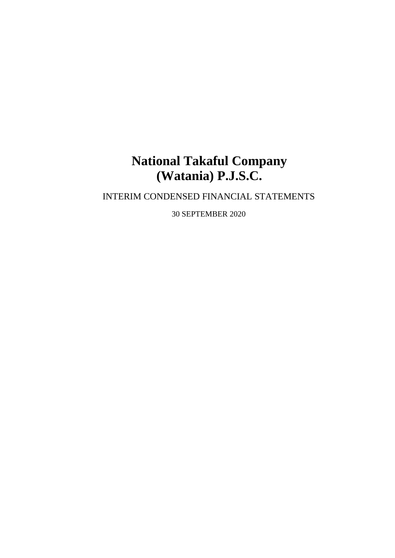# **National Takaful Company (Watania) P.J.S.C.**

# INTERIM CONDENSED FINANCIAL STATEMENTS

30 SEPTEMBER 2020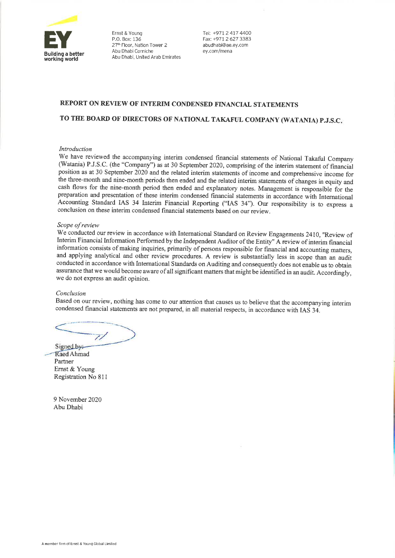

Ernst & Young P.O. Box: 136 27th Floor, Nation Tower 2 Abu Dhabi Corniche Abu Dhabi, United Arab Emirates Tel: +971 2 417 4400 Fax: +971 2 627 3383 abudhabi@ae.ey.com ev.com/mena

#### REPORT ON REVIEW OF INTERIM CONDENSED FINANCIAL STATEMENTS

#### TO THE BOARD OF DIRECTORS OF NATIONAL TAKAFUL COMPANY (WATANIA) P.J.S.C.

#### Introduction

We have reviewed the accompanying interim condensed financial statements of National Takaful Company (Watania) P.J.S.C. (the "Company") as at 30 September 2020, comprising of the interim statement of financial position as at 30 September 2020 and the related interim statements of income and comprehensive income for the three-month and nine-month periods then ended and the related interim statements of changes in equity and cash flows for the nine-month period then ended and explanatory notes. Management is responsible for the preparation and presentation of these interim condensed financial statements in accordance with International Accounting Standard IAS 34 Interim Financial Reporting ("IAS 34"). Our responsibility is to express a conclusion on these interim condensed financial statements based on our review.

#### Scope of review

We conducted our review in accordance with International Standard on Review Engagements 2410, "Review of Interim Financial Information Performed by the Independent Auditor of the Entity" A review of interim financial information consists of making inquiries, primarily of persons responsible for financial and accounting matters, and applying analytical and other review procedures. A review is substantially less in scope than an audit conducted in accordance with International Standards on Auditing and consequently does not enable us to obtain assurance that we would become aware of all significant matters that might be identified in an audit. Accordingly, we do not express an audit opinion.

#### Conclusion

Based on our review, nothing has come to our attention that causes us to believe that the accompanying interim condensed financial statements are not prepared, in all material respects, in accordance with IAS 34.

77

Signed by: Raed Ahmad Partner Ernst & Young Registration No 811

9 November 2020 Abu Dhabi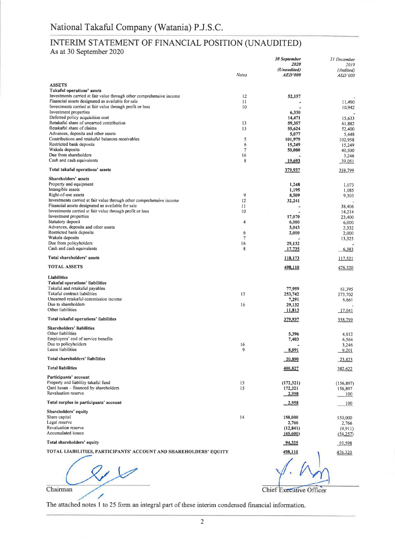# INTERIM STATEMENT OF FINANCIAL POSITION (UNAUDITED)

As at 30 September 2020

|                                                                                                                           |              | 30 September<br>2020          | 31 December<br>2019  |
|---------------------------------------------------------------------------------------------------------------------------|--------------|-------------------------------|----------------------|
|                                                                                                                           | <b>Notes</b> | (Unaudited)<br><b>AED'000</b> | (Audited)<br>AED'000 |
| <b>ASSETS</b>                                                                                                             |              |                               |                      |
| Takaful operations' assets<br>Investments carried at fair value through other comprehensive income                        | 12           |                               |                      |
| Financial assets designated as available for sale                                                                         | 11           | 52,157                        | 11,490               |
| Investments carried at fair value through profit or loss                                                                  | 10           |                               | 10,942               |
| Investment properties<br>Deferred policy acquisition cost                                                                 |              | 6,330                         |                      |
| Retakaful share of unearned contribution                                                                                  | 13           | 14,471<br>59,357              | 15,633<br>61,882     |
| Retakaful share of claims                                                                                                 | 13           | 55,624                        | 52,400               |
| Advances, deposits and other assets<br>Contributions and retakaful balances receivables                                   | 5            | 5,077                         | 5,448                |
| Restricted bank deposits                                                                                                  | 6            | 101,979<br>15,249             | 102,958<br>15,249    |
| Wakala deposits                                                                                                           | 7            | 50,000                        | 40,500               |
| Due from shareholders                                                                                                     | 16           |                               | 3,246                |
| Cash and cash equivalents                                                                                                 | 8            | 19,693                        | $-39,051$            |
| Total takaful operations' assets                                                                                          |              | 379,937                       | 358,799              |
| Shareholders' assets<br>Property and equipment                                                                            |              | 1,248                         | 1,073                |
| Intangible assets                                                                                                         |              | 1,195                         | 1,085                |
| Right-of-use assets                                                                                                       | 9            | 8,509                         | 9,303                |
| Investments carried at fair value through other comprehensive income<br>Financial assets designated as available for sale | 12<br>11     | 32,241                        |                      |
| Investments carried at fair value through profit or loss                                                                  | 10           | ۳                             | 38,406<br>14,214     |
| Investment properties                                                                                                     |              | 17,070                        | 23,400               |
| Statutory deposit<br>Advances, deposits and other assets                                                                  | 4            | 6,000                         | 6,000                |
| Restricted bank deposits                                                                                                  | 6            | 3,043<br>2,000                | 2,332<br>2,000       |
| Wakala deposits                                                                                                           | 7            |                               | 13,325               |
| Due from policyholders<br>Cash and cash equivalents                                                                       | 16<br>8      | 29,132<br>17,735              | 6,383                |
| Total shareholders' assets                                                                                                |              | <u>118,173</u>                |                      |
| <b>TOTAL ASSETS</b>                                                                                                       |              | 498,110                       | 117,521              |
|                                                                                                                           |              |                               | 476,320              |
| Liabilities<br>Takaful operations' liabilities                                                                            |              |                               |                      |
| Takaful and retakaful payables                                                                                            |              | 77,959                        | 61,395               |
| Takaful contract liabilities                                                                                              | 13           | 253,742                       | 273,702              |
| Unearned retakaful commission income<br>Due to shareholders                                                               | 16           | 7,291<br>29,132               | 6,661                |
| Other liabilities                                                                                                         |              | 11,813                        | 17,041               |
| Total takaful operations' liabilities                                                                                     |              | 379,937                       | 358,799              |
| Shareholders' liabilities                                                                                                 |              |                               |                      |
| Other liabilities<br>Employees' end of service benefits                                                                   |              | 5,396                         | 4,812                |
| Due to policyholders                                                                                                      | 16           | 7,403                         | 6,564<br>3,246       |
| Lease liabilities                                                                                                         | 9            | 8,091                         | 9,201                |
| Total shareholders' liabilities                                                                                           |              | 20,890                        | 23,823               |
| <b>Total liabilities</b>                                                                                                  |              | 400,827                       | 382,622              |
| Participants' account                                                                                                     |              |                               |                      |
| Property and liability takaful fund                                                                                       | 15           | (172,321)                     | (156, 897)           |
| Qard hasan - financed by shareholders<br>Revaluation reserve                                                              | 15           | 172,321<br>2,958              | 156,897<br>100       |
| Total surplus in participants' account                                                                                    |              | 2,958                         | 100                  |
| Shareholders' equity                                                                                                      |              |                               |                      |
| Share capital                                                                                                             | 14           | 150,000                       | 150,000              |
| Legal reserve                                                                                                             |              | 2,766                         | 2,766                |
| Revaluation reserve<br><b>Accumulated losses</b>                                                                          |              | (12, 841)<br>(45,600)         | (4, 911)<br>(54,257) |
| Total shareholders' equity                                                                                                |              | 94,325                        | 93,598               |
| TOTAL LIABILITIES, PARTICIPANTS' ACCOUNT AND SHAREHOLDERS' EQUITY                                                         |              | 498,110                       | 476,320              |
|                                                                                                                           |              |                               |                      |
|                                                                                                                           |              |                               |                      |
|                                                                                                                           |              |                               |                      |
|                                                                                                                           |              |                               |                      |
| Chairman                                                                                                                  |              | Chief Executive Officer       |                      |

Chairman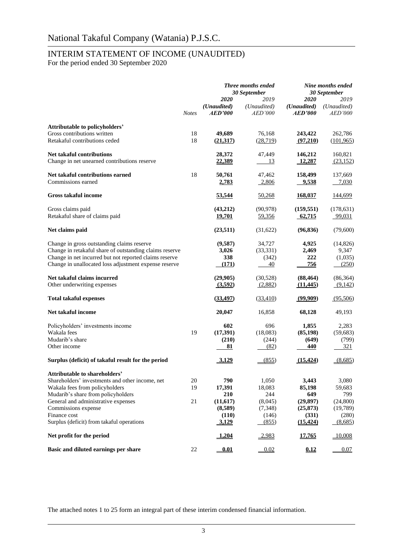### INTERIM STATEMENT OF INCOME (UNAUDITED)

For the period ended 30 September 2020

|                                                                                                                                                                                                                                                                                            |                | Three months ended<br>30 September                                   |                                                                |                                                                        | Nine months ended<br>30 September                                   |
|--------------------------------------------------------------------------------------------------------------------------------------------------------------------------------------------------------------------------------------------------------------------------------------------|----------------|----------------------------------------------------------------------|----------------------------------------------------------------|------------------------------------------------------------------------|---------------------------------------------------------------------|
|                                                                                                                                                                                                                                                                                            | <b>Notes</b>   | 2020<br>(Unaudited)<br><i><b>AED'000</b></i>                         | 2019<br>(Unaudited)<br><i>AED'000</i>                          | 2020<br>(Unaudited)<br><i><b>AED'000</b></i>                           | 2019<br>(Unaudited)<br><b>AED'000</b>                               |
| Attributable to policyholders'                                                                                                                                                                                                                                                             |                |                                                                      |                                                                |                                                                        |                                                                     |
| Gross contributions written<br>Retakaful contributions ceded                                                                                                                                                                                                                               | 18<br>18       | 49,689<br>(21,317)                                                   | 76,168<br>(28,719)                                             | 243,422<br>(97,210)                                                    | 262,786<br>(101, 965)                                               |
| <b>Net takaful contributions</b><br>Change in net unearned contributions reserve                                                                                                                                                                                                           |                | 28,372<br>22,389                                                     | 47,449<br>$\frac{13}{2}$                                       | 146,212<br>12,287                                                      | 160,821<br>(23, 152)                                                |
| Net takaful contributions earned<br>Commissions earned                                                                                                                                                                                                                                     | 18             | 50,761<br>2,783                                                      | 47,462<br>2,806                                                | 158,499<br><u>9,538</u>                                                | 137,669<br>7,030                                                    |
| <b>Gross takaful income</b>                                                                                                                                                                                                                                                                |                | 53,544                                                               | 50,268                                                         | 168,037                                                                | 144,699                                                             |
| Gross claims paid<br>Retakaful share of claims paid                                                                                                                                                                                                                                        |                | (43,212)<br><u>19,701</u>                                            | (90, 978)<br>59,356                                            | (159, 551)<br>62,715                                                   | (178, 631)<br>99,031                                                |
| Net claims paid                                                                                                                                                                                                                                                                            |                | (23, 511)                                                            | (31,622)                                                       | (96, 836)                                                              | (79,600)                                                            |
| Change in gross outstanding claims reserve<br>Change in retakaful share of outstanding claims reserve<br>Change in net incurred but not reported claims reserve<br>Change in unallocated loss adjustment expense reserve                                                                   |                | (9,587)<br>3,026<br>338<br>(171)                                     | 34,727<br>(33, 331)<br>(342)<br>40                             | 4,925<br>2,469<br>222<br>756                                           | (14, 826)<br>9,347<br>(1,035)<br>(250)                              |
| Net takaful claims incurred<br>Other underwriting expenses                                                                                                                                                                                                                                 |                | (29,905)<br>(3,592)                                                  | (30,528)<br>(2,882)                                            | (88, 464)<br>(11, 445)                                                 | (86, 364)<br>(9,142)                                                |
| <b>Total takaful expenses</b>                                                                                                                                                                                                                                                              |                | (33, 497)                                                            | (33, 410)                                                      | (99,909)                                                               | (95,506)                                                            |
| Net takaful income                                                                                                                                                                                                                                                                         |                | 20,047                                                               | 16,858                                                         | 68,128                                                                 | 49,193                                                              |
| Policyholders' investments income<br>Wakala fees<br>Mudarib's share<br>Other income                                                                                                                                                                                                        | 19             | 602<br>(17, 391)<br>(210)<br>81                                      | 696<br>(18,083)<br>(244)<br>(82)                               | 1,855<br>(85, 198)<br>(649)<br><u>440</u>                              | 2,283<br>(59, 683)<br>(799)<br><u>321</u>                           |
| Surplus (deficit) of takaful result for the period                                                                                                                                                                                                                                         |                | 3,129                                                                | (855)                                                          | (15, 424)                                                              | (8,685)                                                             |
| <b>Attributable to shareholders'</b><br>Shareholders' investments and other income, net<br>Wakala fees from policyholders<br>Mudarib's share from policyholders<br>General and administrative expenses<br>Commissions expense<br>Finance cost<br>Surplus (deficit) from takaful operations | 20<br>19<br>21 | 790<br>17,391<br><b>210</b><br>(11,617)<br>(8,589)<br>(110)<br>3,129 | 1,050<br>18,083<br>244<br>(8,045)<br>(7,348)<br>(146)<br>(855) | 3,443<br>85,198<br>649<br>(29, 897)<br>(25, 873)<br>(331)<br>(15, 424) | 3,080<br>59,683<br>799<br>(24,800)<br>(19, 789)<br>(280)<br>(8,685) |
| Net profit for the period                                                                                                                                                                                                                                                                  |                | 1,204                                                                | 2,983                                                          | 17,765                                                                 | $-10,008$                                                           |
| Basic and diluted earnings per share                                                                                                                                                                                                                                                       | 22             | 0.01                                                                 | 0.02                                                           | 0.12                                                                   | 0.07                                                                |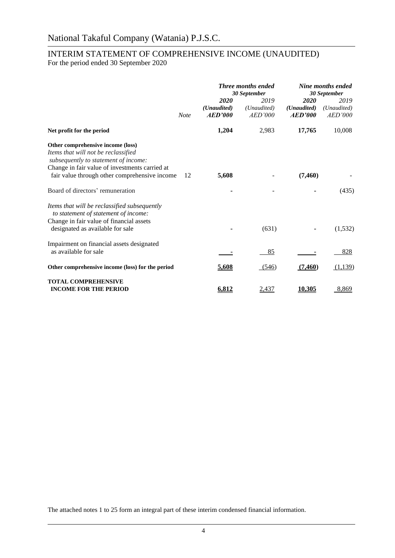# INTERIM STATEMENT OF COMPREHENSIVE INCOME (UNAUDITED)

For the period ended 30 September 2020

|                                                                                                                                                                                                                     |             | <b>Three months ended</b>      |                                | Nine months ended<br>30 September |                                |  | 30 September |  |
|---------------------------------------------------------------------------------------------------------------------------------------------------------------------------------------------------------------------|-------------|--------------------------------|--------------------------------|-----------------------------------|--------------------------------|--|--------------|--|
|                                                                                                                                                                                                                     | <b>Note</b> | 2020<br>(Unaudited)<br>AED'000 | 2019<br>(Unaudited)<br>AED'000 | 2020<br>(Unaudited)<br>AED'000    | 2019<br>(Unaudited)<br>AED'000 |  |              |  |
| Net profit for the period                                                                                                                                                                                           |             | 1,204                          | 2,983                          | 17,765                            | 10,008                         |  |              |  |
| Other comprehensive income (loss)<br>Items that will not be reclassified<br>subsequently to statement of income:<br>Change in fair value of investments carried at<br>fair value through other comprehensive income | 12          | 5,608                          |                                | (7, 460)                          |                                |  |              |  |
| Board of directors' remuneration                                                                                                                                                                                    |             |                                |                                |                                   | (435)                          |  |              |  |
| Items that will be reclassified subsequently<br>to statement of statement of income:<br>Change in fair value of financial assets<br>designated as available for sale                                                |             |                                | (631)                          |                                   | (1,532)                        |  |              |  |
| Impairment on financial assets designated<br>as available for sale                                                                                                                                                  |             |                                | 85                             |                                   | 828                            |  |              |  |
| Other comprehensive income (loss) for the period                                                                                                                                                                    |             | 5,608                          | (546)                          | (7,460)                           | (1,139)                        |  |              |  |
| <b>TOTAL COMPREHENSIVE</b><br><b>INCOME FOR THE PERIOD</b>                                                                                                                                                          |             | 6,812                          | 2,437                          | <u>10,305</u>                     | 8,869                          |  |              |  |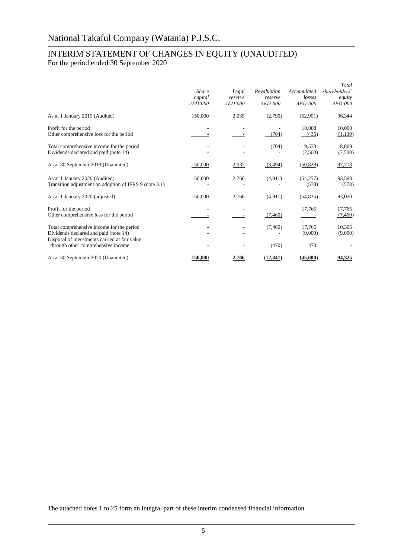## INTERIM STATEMENT OF CHANGES IN EQUITY (UNAUDITED)

For the period ended 30 September 2020

|                                                                                                                                     | <b>Share</b><br>capital<br>AED'000 | Legal<br>reserve<br>AED'000 | Revaluation<br>reserve<br>AED'000 | Accumulated<br>losses<br>AED'000 | Total<br>shareholders'<br>equity<br>AED'000 |
|-------------------------------------------------------------------------------------------------------------------------------------|------------------------------------|-----------------------------|-----------------------------------|----------------------------------|---------------------------------------------|
| As at 1 January 2019 (Audited)                                                                                                      | 150,000                            | 2,035                       | (2,790)                           | (52,901)                         | 96,344                                      |
| Profit for the period<br>Other comprehensive loss for the period                                                                    |                                    |                             | (704)                             | 10,008<br>(435)                  | 10,008<br>(1,139)                           |
| Total comprehensive income for the period<br>Dividends declared and paid (note 14)                                                  |                                    |                             | (704)                             | 9,573<br>(7,500)                 | 8,869<br>(7,500)                            |
| As at 30 September 2019 (Unaudited)                                                                                                 | 150,000                            | 2,035                       | (3,494)                           | (50,828)                         | 97,713                                      |
| As at 1 January 2020 (Audited)<br>Transition adjustment on adoption of IFRS 9 (note 3.1)                                            | 150,000                            | 2,766                       | (4,911)                           | (54, 257)<br>(578)               | 93,598<br>(578)                             |
| As at 1 January 2020 (adjusted)                                                                                                     | 150,000                            | 2,766                       | (4, 911)                          | (54, 835)                        | 93,020                                      |
| Profit for the period<br>Other comprehensive loss for the period                                                                    |                                    |                             | (7,460)                           | 17,765                           | 17,765<br>(7,460)                           |
| Total comprehensive income for the period<br>Dividends declared and paid (note 14)<br>Disposal of investments carried at fair value | $\overline{\phantom{a}}$           |                             | (7,460)                           | 17,765<br>(9,000)                | 10,305<br>(9,000)                           |
| through other comprehensive income                                                                                                  |                                    |                             | (470)                             | 470                              |                                             |
| As at 30 September 2020 (Unaudited)                                                                                                 | <b>150.000</b>                     | 2,766                       | (12, 841)                         | (45,600)                         | 94.325                                      |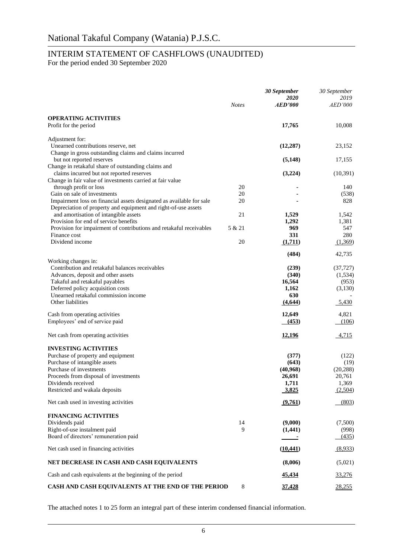## INTERIM STATEMENT OF CASHFLOWS (UNAUDITED)

For the period ended 30 September 2020

|                                                                                                                                        | <b>Notes</b> | 30 September<br><i>2020</i><br><i><b>AED'000</b></i> | 30 September<br>2019<br>AED'000 |
|----------------------------------------------------------------------------------------------------------------------------------------|--------------|------------------------------------------------------|---------------------------------|
|                                                                                                                                        |              |                                                      |                                 |
| <b>OPERATING ACTIVITIES</b><br>Profit for the period                                                                                   |              | 17,765                                               | 10,008                          |
| Adjustment for:                                                                                                                        |              |                                                      |                                 |
| Unearned contributions reserve, net                                                                                                    |              | (12, 287)                                            | 23,152                          |
| Change in gross outstanding claims and claims incurred<br>but not reported reserves                                                    |              | (5, 148)                                             | 17,155                          |
| Change in retakaful share of outstanding claims and                                                                                    |              |                                                      |                                 |
| claims incurred but not reported reserves                                                                                              |              | (3,224)                                              | (10, 391)                       |
| Change in fair value of investments carried at fair value                                                                              |              |                                                      |                                 |
| through profit or loss                                                                                                                 | 20           |                                                      | 140                             |
| Gain on sale of investments                                                                                                            | 20<br>20     |                                                      | (538)                           |
| Impairment loss on financial assets designated as available for sale<br>Depreciation of property and equipment and right-of-use assets |              |                                                      | 828                             |
| and amortisation of intangible assets                                                                                                  | 21           | 1,529                                                | 1,542                           |
| Provision for end of service benefits                                                                                                  |              | 1,292                                                | 1,381                           |
| Provision for impairment of contributions and retakaful receivables                                                                    | 5 & 21       | 969                                                  | 547                             |
| Finance cost                                                                                                                           |              | 331                                                  | 280                             |
| Dividend income                                                                                                                        | 20           | (1,711)                                              | (1,369)                         |
|                                                                                                                                        |              | (484)                                                | 42,735                          |
| Working changes in:<br>Contribution and retakaful balances receivables                                                                 |              | (239)                                                | (37, 727)                       |
| Advances, deposit and other assets                                                                                                     |              | (340)                                                | (1,534)                         |
| Takaful and retakaful payables                                                                                                         |              | 16,564                                               | (953)                           |
| Deferred policy acquisition costs                                                                                                      |              | 1,162                                                | (3,130)                         |
| Unearned retakaful commission income                                                                                                   |              | 630                                                  |                                 |
| Other liabilities                                                                                                                      |              | (4,644)                                              | 5,430                           |
| Cash from operating activities                                                                                                         |              | 12,649                                               | 4,821                           |
| Employees' end of service paid                                                                                                         |              | (453)                                                | (106)                           |
| Net cash from operating activities                                                                                                     |              | <u>12,196</u>                                        | 4,715                           |
| <b>INVESTING ACTIVITIES</b>                                                                                                            |              |                                                      |                                 |
| Purchase of property and equipment                                                                                                     |              | (377)                                                | (122)                           |
| Purchase of intangible assets                                                                                                          |              | (643)                                                | (19)                            |
| Purchase of investments                                                                                                                |              | (40,968)                                             | (20, 288)                       |
| Proceeds from disposal of investments                                                                                                  |              | 26,691                                               | 20,761                          |
| Dividends received<br>Restricted and wakala deposits                                                                                   |              | 1,711                                                | 1,369                           |
|                                                                                                                                        |              | 3,825                                                | (2,504)                         |
| Net cash used in investing activities                                                                                                  |              | (9,761)                                              | (803)                           |
| <b>FINANCING ACTIVITIES</b>                                                                                                            |              |                                                      |                                 |
| Dividends paid                                                                                                                         | 14           | (9,000)                                              | (7,500)                         |
| Right-of-use instalment paid                                                                                                           | 9            | (1,441)                                              | (998)                           |
| Board of directors' remuneration paid                                                                                                  |              |                                                      | (435)                           |
| Net cash used in financing activities                                                                                                  |              | (10, 441)                                            | (8,933)                         |
| NET DECREASE IN CASH AND CASH EQUIVALENTS                                                                                              |              | (8,006)                                              | (5,021)                         |
| Cash and cash equivalents at the beginning of the period                                                                               |              | 45,434                                               | 33,276                          |
| CASH AND CASH EQUIVALENTS AT THE END OF THE PERIOD                                                                                     | 8            | 37,428                                               | 28,255                          |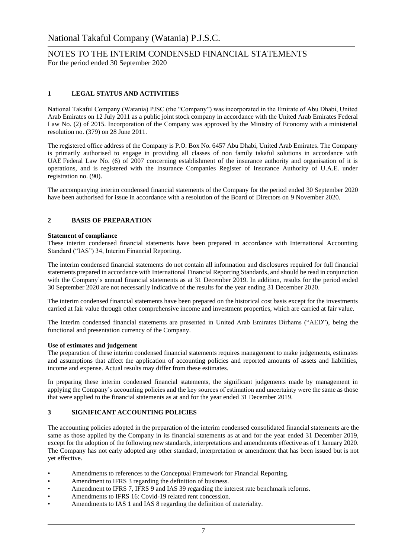#### **1 LEGAL STATUS AND ACTIVITIES**

National Takaful Company (Watania) PJSC (the "Company") was incorporated in the Emirate of Abu Dhabi, United Arab Emirates on 12 July 2011 as a public joint stock company in accordance with the United Arab Emirates Federal Law No. (2) of 2015. Incorporation of the Company was approved by the Ministry of Economy with a ministerial resolution no. (379) on 28 June 2011.

The registered office address of the Company is P.O. Box No. 6457 Abu Dhabi, United Arab Emirates. The Company is primarily authorised to engage in providing all classes of non family takaful solutions in accordance with UAE Federal Law No. (6) of 2007 concerning establishment of the insurance authority and organisation of it is operations, and is registered with the Insurance Companies Register of Insurance Authority of U.A.E. under registration no. (90).

The accompanying interim condensed financial statements of the Company for the period ended 30 September 2020 have been authorised for issue in accordance with a resolution of the Board of Directors on 9 November 2020.

#### **2 BASIS OF PREPARATION**

#### **Statement of compliance**

These interim condensed financial statements have been prepared in accordance with International Accounting Standard ("IAS") 34, Interim Financial Reporting.

The interim condensed financial statements do not contain all information and disclosures required for full financial statements prepared in accordance with International Financial Reporting Standards, and should be read in conjunction with the Company's annual financial statements as at 31 December 2019. In addition, results for the period ended 30 September 2020 are not necessarily indicative of the results for the year ending 31 December 2020.

The interim condensed financial statements have been prepared on the historical cost basis except for the investments carried at fair value through other comprehensive income and investment properties, which are carried at fair value.

The interim condensed financial statements are presented in United Arab Emirates Dirhams ("AED"), being the functional and presentation currency of the Company.

#### **Use of estimates and judgement**

The preparation of these interim condensed financial statements requires management to make judgements, estimates and assumptions that affect the application of accounting policies and reported amounts of assets and liabilities, income and expense. Actual results may differ from these estimates.

In preparing these interim condensed financial statements, the significant judgements made by management in applying the Company's accounting policies and the key sources of estimation and uncertainty were the same as those that were applied to the financial statements as at and for the year ended 31 December 2019.

#### **3 SIGNIFICANT ACCOUNTING POLICIES**

The accounting policies adopted in the preparation of the interim condensed consolidated financial statements are the same as those applied by the Company in its financial statements as at and for the year ended 31 December 2019, except for the adoption of the following new standards, interpretations and amendments effective as of 1 January 2020. The Company has not early adopted any other standard, interpretation or amendment that has been issued but is not yet effective.

- Amendments to references to the Conceptual Framework for Financial Reporting.
- Amendment to IFRS 3 regarding the definition of business.
- Amendment to IFRS 7, IFRS 9 and IAS 39 regarding the interest rate benchmark reforms.
- Amendments to IFRS 16: Covid-19 related rent concession.
- Amendments to IAS 1 and IAS 8 regarding the definition of materiality.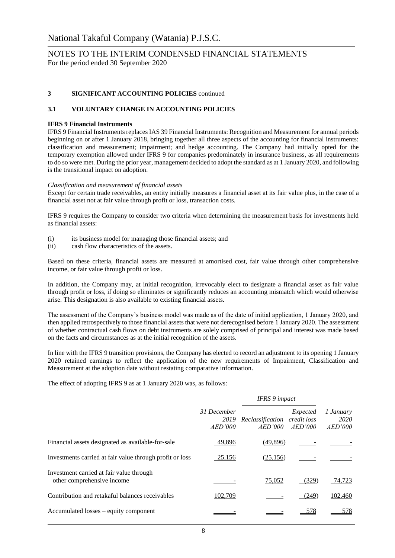#### **3 SIGNIFICANT ACCOUNTING POLICIES** continued

#### **3.1 VOLUNTARY CHANGE IN ACCOUNTING POLICIES**

#### **IFRS 9 Financial Instruments**

IFRS 9 Financial Instruments replaces IAS 39 Financial Instruments: Recognition and Measurement for annual periods beginning on or after 1 January 2018, bringing together all three aspects of the accounting for financial instruments: classification and measurement; impairment; and hedge accounting. The Company had initially opted for the temporary exemption allowed under IFRS 9 for companies predominately in insurance business, as all requirements to do so were met. During the prior year, management decided to adopt the standard as at 1 January 2020, and following is the transitional impact on adoption.

#### *Classification and measurement of financial assets*

Except for certain trade receivables, an entity initially measures a financial asset at its fair value plus, in the case of a financial asset not at fair value through profit or loss, transaction costs.

IFRS 9 requires the Company to consider two criteria when determining the measurement basis for investments held as financial assets:

- (i) its business model for managing those financial assets; and
- (ii) cash flow characteristics of the assets.

Based on these criteria, financial assets are measured at amortised cost, fair value through other comprehensive income, or fair value through profit or loss.

In addition, the Company may, at initial recognition, irrevocably elect to designate a financial asset as fair value through profit or loss, if doing so eliminates or significantly reduces an accounting mismatch which would otherwise arise. This designation is also available to existing financial assets.

The assessment of the Company's business model was made as of the date of initial application, 1 January 2020, and then applied retrospectively to those financial assets that were not derecognised before 1 January 2020. The assessment of whether contractual cash flows on debt instruments are solely comprised of principal and interest was made based on the facts and circumstances as at the initial recognition of the assets.

In line with the IFRS 9 transition provisions, the Company has elected to record an adjustment to its opening 1 January 2020 retained earnings to reflect the application of the new requirements of Impairment, Classification and Measurement at the adoption date without restating comparative information.

The effect of adopting IFRS 9 as at 1 January 2020 was, as follows:

|                                                                        |                                | <b>IFRS</b> 9 impact        |                                    |                              |
|------------------------------------------------------------------------|--------------------------------|-----------------------------|------------------------------------|------------------------------|
|                                                                        | 31 December<br>2019<br>AED'000 | Reclassification<br>AED'000 | Expected<br>credit loss<br>AED'000 | 1 January<br>2020<br>AED'000 |
| Financial assets designated as available-for-sale                      | 49,896                         | (49,896)                    |                                    |                              |
| Investments carried at fair value through profit or loss               | 25,156                         | (25, 156)                   |                                    |                              |
| Investment carried at fair value through<br>other comprehensive income |                                | <u>75,052</u>               | (329)                              | 74,723                       |
| Contribution and retakaful balances receivables                        | 102,709                        |                             | (249)                              | 102,460                      |
| Accumulated losses – equity component                                  |                                |                             | 578                                | 578                          |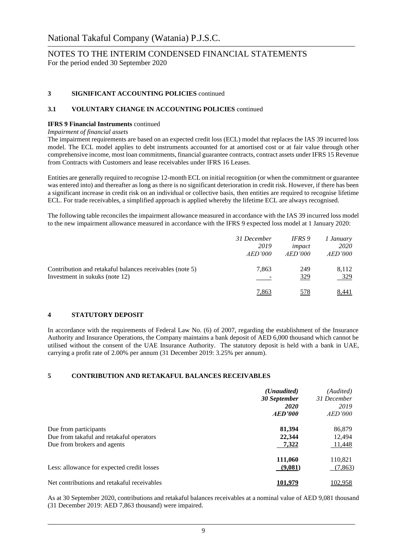#### **3 SIGNIFICANT ACCOUNTING POLICIES** continued

#### **3.1 VOLUNTARY CHANGE IN ACCOUNTING POLICIES** continued

#### **IFRS 9 Financial Instruments** continued

#### *Impairment of financial assets*

The impairment requirements are based on an expected credit loss (ECL) model that replaces the IAS 39 incurred loss model. The ECL model applies to debt instruments accounted for at amortised cost or at fair value through other comprehensive income, most loan commitments, financial guarantee contracts, contract assets under IFRS 15 Revenue from Contracts with Customers and lease receivables under IFRS 16 Leases.

Entities are generally required to recognise 12-month ECL on initial recognition (or when the commitment or guarantee was entered into) and thereafter as long as there is no significant deterioration in credit risk. However, if there has been a significant increase in credit risk on an individual or collective basis, then entities are required to recognise lifetime ECL. For trade receivables, a simplified approach is applied whereby the lifetime ECL are always recognised.

The following table reconciles the impairment allowance measured in accordance with the IAS 39 incurred loss model to the new impairment allowance measured in accordance with the IFRS 9 expected loss model at 1 January 2020:

|                                                          | 31 December | IFRS 9     | 1 January      |
|----------------------------------------------------------|-------------|------------|----------------|
|                                                          | 2019        | impact     | 2020           |
|                                                          | AED'000     | AED'000    | <i>AED'000</i> |
| Contribution and retakaful balances receivables (note 5) | 7,863       | 249        | 8,112          |
| Investment in sukuks (note 12)                           |             | <u>329</u> | <u>329</u>     |
|                                                          | 7.863       | 578        | 8,441          |

#### **4 STATUTORY DEPOSIT**

In accordance with the requirements of Federal Law No. (6) of 2007, regarding the establishment of the Insurance Authority and Insurance Operations, the Company maintains a bank deposit of AED 6,000 thousand which cannot be utilised without the consent of the UAE Insurance Authority. The statutory deposit is held with a bank in UAE, carrying a profit rate of 2.00% per annum (31 December 2019: 3.25% per annum).

#### **5 CONTRIBUTION AND RETAKAFUL BALANCES RECEIVABLES**

|                                             | ( <i>Unaudited</i> )<br>30 September | (Audited)<br>31 December |
|---------------------------------------------|--------------------------------------|--------------------------|
|                                             | <b>2020</b><br>AED'000               | 2019<br><i>AED'000</i>   |
| Due from participants                       | 81,394                               | 86,879                   |
| Due from takaful and retakaful operators    | 22,344                               | 12,494                   |
| Due from brokers and agents                 | 7,322                                | 11,448                   |
|                                             | 111,060                              | 110,821                  |
| Less: allowance for expected credit losses  | (9,081)                              | (7,863)                  |
| Net contributions and retakaful receivables | 101.979                              | 102,958                  |

As at 30 September 2020, contributions and retakaful balances receivables at a nominal value of AED 9,081 thousand (31 December 2019: AED 7,863 thousand) were impaired.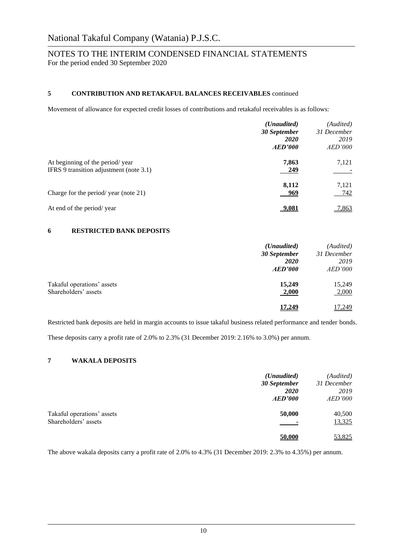#### **5 CONTRIBUTION AND RETAKAFUL BALANCES RECEIVABLES** continued

Movement of allowance for expected credit losses of contributions and retakaful receivables is as follows:

|                                                                            | ( <i>Unaudited</i> )<br>30 September<br><b>2020</b><br>AED'000 | (Audited)<br>31 December<br>2019<br>AED'000 |
|----------------------------------------------------------------------------|----------------------------------------------------------------|---------------------------------------------|
| At beginning of the period/year<br>IFRS 9 transition adjustment (note 3.1) | 7,863<br><u>249</u>                                            | 7,121                                       |
| Charge for the period/year (note 21)                                       | 8,112<br>969                                                   | 7,121<br>742                                |
| At end of the period/year                                                  | <u>9.081</u>                                                   | 7,863                                       |

#### **6 RESTRICTED BANK DEPOSITS**

|                            | ( <i>Unaudited</i> )<br>30 September | (Audited)<br>31 December |
|----------------------------|--------------------------------------|--------------------------|
|                            | <b>2020</b>                          | 2019                     |
|                            | AED'000                              | <i>AED'000</i>           |
| Takaful operations' assets | 15,249                               | 15,249                   |
| Shareholders' assets       | 2,000                                | 2,000                    |
|                            | 17.249                               | 17,249                   |

Restricted bank deposits are held in margin accounts to issue takaful business related performance and tender bonds.

These deposits carry a profit rate of 2.0% to 2.3% (31 December 2019: 2.16% to 3.0%) per annum.

#### **7 WAKALA DEPOSITS**

|                            | ( <i>Unaudited</i> ) | (Audited)      |
|----------------------------|----------------------|----------------|
|                            | 30 September         | 31 December    |
|                            | <b>2020</b>          | 2019           |
|                            | AED'000              | <i>AED'000</i> |
| Takaful operations' assets | 50,000               | 40,500         |
| Shareholders' assets       |                      | 13,325         |
|                            | 50,000               | 53,825         |

The above wakala deposits carry a profit rate of 2.0% to 4.3% (31 December 2019: 2.3% to 4.35%) per annum.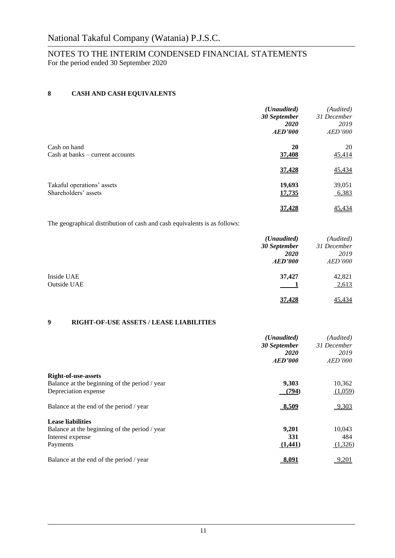#### **8 CASH AND CASH EQUIVALENTS**

| ( <i>Unaudited</i> ) | (Audited)    |
|----------------------|--------------|
|                      | 31 December  |
| 2020                 | 2019         |
| AED'000              | AED'000      |
| 20                   | 20           |
| 37,408               | 45,414       |
| 37,428               | 45,434       |
| 19,693               | 39,051       |
| 17,735               | 6,383        |
| 37.428               | 45,434       |
|                      | 30 September |

The geographical distribution of cash and cash equivalents is as follows:

|                    | ( <i>Unaudited</i> ) | (Audited)      |
|--------------------|----------------------|----------------|
|                    | 30 September         | 31 December    |
|                    | <b>2020</b>          | 2019           |
|                    | AED'000              | <i>AED'000</i> |
| Inside UAE         | 37,427               | 42,821         |
| <b>Outside UAE</b> |                      | 2,613          |
|                    | 37,428               | 45,434         |

#### **9 RIGHT-OF-USE ASSETS / LEASE LIABILITIES**

|                                               | ( <i>Unaudited</i> )<br>30 September | (Audited)<br>31 December |
|-----------------------------------------------|--------------------------------------|--------------------------|
|                                               | <i>2020</i>                          | 2019                     |
|                                               | AED'000                              | AED'000                  |
| <b>Right-of-use-assets</b>                    |                                      |                          |
| Balance at the beginning of the period / year | 9,303                                | 10,362                   |
| Depreciation expense                          | (794)                                | (1,059)                  |
| Balance at the end of the period / year       | 8,509                                | 9,303                    |
| <b>Lease liabilities</b>                      |                                      |                          |
| Balance at the beginning of the period / year | 9,201                                | 10,043                   |
| Interest expense                              | 331                                  | 484                      |
| Payments                                      | (1,441)                              | (1,326)                  |
| Balance at the end of the period / year       | <u>8.091</u>                         | 9,201                    |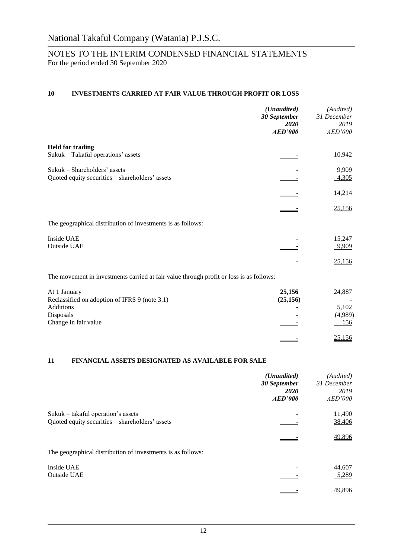#### **10 INVESTMENTS CARRIED AT FAIR VALUE THROUGH PROFIT OR LOSS**

|                                                                                         | (Unaudited)<br>30 September<br>2020<br><b>AED'000</b> | (Audited)<br>31 December<br>2019<br>AED'000 |
|-----------------------------------------------------------------------------------------|-------------------------------------------------------|---------------------------------------------|
| <b>Held for trading</b>                                                                 |                                                       |                                             |
| Sukuk - Takaful operations' assets                                                      |                                                       | 10,942                                      |
| Sukuk - Shareholders' assets                                                            |                                                       | 9,909                                       |
| Quoted equity securities - shareholders' assets                                         |                                                       | 4,305                                       |
|                                                                                         |                                                       | 14,214                                      |
|                                                                                         |                                                       | 25,156                                      |
| The geographical distribution of investments is as follows:                             |                                                       |                                             |
| Inside UAE                                                                              |                                                       | 15,247                                      |
| <b>Outside UAE</b>                                                                      |                                                       | 9,909                                       |
|                                                                                         |                                                       | 25,156                                      |
| The movement in investments carried at fair value through profit or loss is as follows: |                                                       |                                             |
| At 1 January                                                                            | 25,156                                                | 24,887                                      |
| Reclassified on adoption of IFRS 9 (note 3.1)                                           | (25, 156)                                             |                                             |
| <b>Additions</b>                                                                        |                                                       | 5,102                                       |
| Disposals                                                                               |                                                       | (4,989)                                     |
| Change in fair value                                                                    |                                                       | 156                                         |
|                                                                                         |                                                       | 25,156                                      |

#### **11 FINANCIAL ASSETS DESIGNATED AS AVAILABLE FOR SALE**

|                                                             | (Unaudited)<br>30 September<br><b>2020</b><br>AED'000 | (Audited)<br>31 December<br>2019<br>AED'000 |
|-------------------------------------------------------------|-------------------------------------------------------|---------------------------------------------|
| Sukuk – takaful operation's assets                          |                                                       | 11,490                                      |
| Quoted equity securities - shareholders' assets             |                                                       | 38,406                                      |
|                                                             |                                                       | 49,896                                      |
| The geographical distribution of investments is as follows: |                                                       |                                             |
| Inside UAE                                                  |                                                       | 44,607                                      |
| Outside UAE                                                 |                                                       | 5,289                                       |
|                                                             |                                                       | 49,896                                      |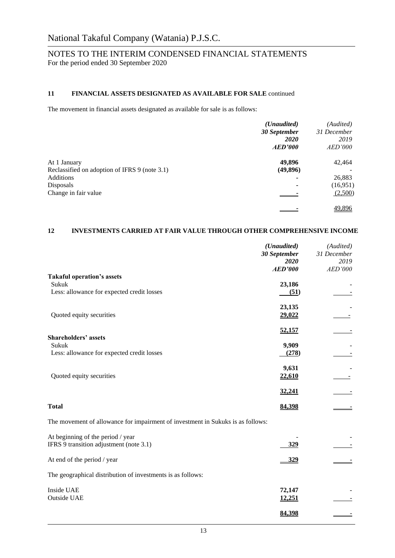#### **11 FINANCIAL ASSETS DESIGNATED AS AVAILABLE FOR SALE** continued

The movement in financial assets designated as available for sale is as follows:

|                                               | ( <i>Unaudited</i> ) | (Audited)      |
|-----------------------------------------------|----------------------|----------------|
|                                               | 30 September         | 31 December    |
|                                               | 2020                 | 2019           |
|                                               | <b>AED'000</b>       | <i>AED'000</i> |
| At 1 January                                  | 49,896               | 42,464         |
| Reclassified on adoption of IFRS 9 (note 3.1) | (49, 896)            |                |
| Additions                                     |                      | 26,883         |
| Disposals                                     |                      | (16,951)       |
| Change in fair value                          |                      | (2,500)        |
|                                               |                      | 49,896         |

#### **12 INVESTMENTS CARRIED AT FAIR VALUE THROUGH OTHER COMPREHENSIVE INCOME**

|                                                                                 | (Unaudited)    | (Audited)   |
|---------------------------------------------------------------------------------|----------------|-------------|
|                                                                                 | 30 September   | 31 December |
|                                                                                 | 2020           | 2019        |
|                                                                                 | <b>AED'000</b> | AED'000     |
| <b>Takaful operation's assets</b>                                               |                |             |
| Sukuk                                                                           | 23,186         |             |
| Less: allowance for expected credit losses                                      | (51)           |             |
|                                                                                 |                |             |
|                                                                                 | 23,135         |             |
| Quoted equity securities                                                        | 29,022         |             |
|                                                                                 |                |             |
|                                                                                 | 52,157         |             |
| <b>Shareholders' assets</b>                                                     |                |             |
| Sukuk                                                                           | 9,909          |             |
| Less: allowance for expected credit losses                                      | (278)          |             |
|                                                                                 |                |             |
|                                                                                 | 9,631          |             |
| Quoted equity securities                                                        | 22,610         |             |
|                                                                                 |                |             |
|                                                                                 | 32,241         |             |
|                                                                                 |                |             |
| <b>Total</b>                                                                    | 84,398         |             |
|                                                                                 |                |             |
| The movement of allowance for impairment of investment in Sukuks is as follows: |                |             |
| At beginning of the period / year                                               |                |             |
| IFRS 9 transition adjustment (note 3.1)                                         | 329            |             |
|                                                                                 |                |             |
| At end of the period / year                                                     | <u>329</u>     |             |
|                                                                                 |                |             |
| The geographical distribution of investments is as follows:                     |                |             |
| Inside UAE                                                                      | 72,147         |             |
|                                                                                 |                |             |
| Outside UAE                                                                     | 12,251         |             |
|                                                                                 | 84,398         |             |
|                                                                                 |                |             |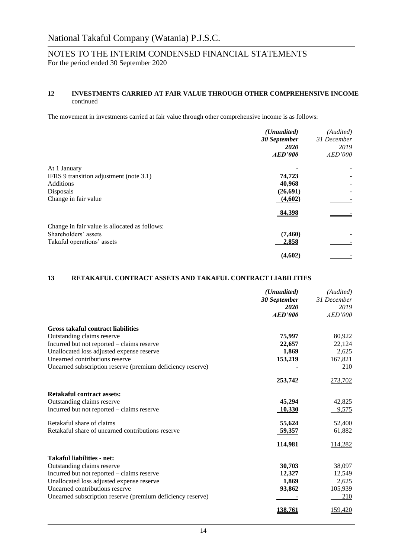#### **12 INVESTMENTS CARRIED AT FAIR VALUE THROUGH OTHER COMPREHENSIVE INCOME** continued

The movement in investments carried at fair value through other comprehensive income is as follows:

|                                               | ( <i>Unaudited</i> ) | (Audited)   |
|-----------------------------------------------|----------------------|-------------|
|                                               | 30 September         | 31 December |
|                                               | <b>2020</b>          | 2019        |
|                                               | AED'000              | AED'000     |
| At 1 January                                  |                      |             |
| IFRS 9 transition adjustment (note 3.1)       | 74,723               |             |
| <b>Additions</b>                              | 40,968               |             |
| Disposals                                     | (26, 691)            |             |
| Change in fair value                          | (4,602)              |             |
|                                               | 84,398               |             |
| Change in fair value is allocated as follows: |                      |             |
| Shareholders' assets                          | (7, 460)             |             |
| Takaful operations' assets                    | 2,858                |             |
|                                               | (4.602)              |             |

#### **13 RETAKAFUL CONTRACT ASSETS AND TAKAFUL CONTRACT LIABILITIES**

|                                                            | (Unaudited)    | (Audited)      |
|------------------------------------------------------------|----------------|----------------|
|                                                            | 30 September   | 31 December    |
|                                                            | 2020           | 2019           |
|                                                            | <b>AED'000</b> | AED'000        |
| <b>Gross takaful contract liabilities</b>                  |                |                |
| Outstanding claims reserve                                 | 75,997         | 80,922         |
| Incurred but not reported - claims reserve                 | 22,657         | 22,124         |
| Unallocated loss adjusted expense reserve                  | 1,869          | 2,625          |
| Unearned contributions reserve                             | 153,219        | 167,821        |
| Unearned subscription reserve (premium deficiency reserve) |                | 210            |
|                                                            | <u>253,742</u> | 273,702        |
| <b>Retakaful contract assets:</b>                          |                |                |
| Outstanding claims reserve                                 | 45,294         | 42,825         |
| Incurred but not reported - claims reserve                 | <u>10,330</u>  | 9,575          |
| Retakaful share of claims                                  | 55,624         | 52,400         |
| Retakaful share of unearned contributions reserve          | 59,357         | 61,882         |
|                                                            | 114,981        | 114,282        |
| <b>Takaful liabilities - net:</b>                          |                |                |
| Outstanding claims reserve                                 | 30,703         | 38,097         |
| Incurred but not reported - claims reserve                 | 12,327         | 12,549         |
| Unallocated loss adjusted expense reserve                  | 1,869          | 2,625          |
| Unearned contributions reserve                             | 93,862         | 105,939        |
| Unearned subscription reserve (premium deficiency reserve) |                | 210            |
|                                                            | 138,761        | <u>159,420</u> |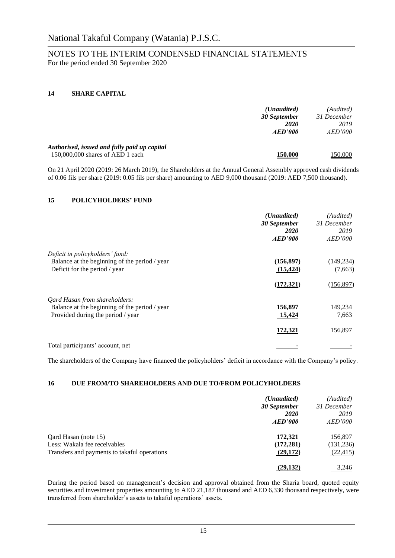#### **14 SHARE CAPITAL**

|                                              | ( <i>Unaudited</i> ) | (Audited)      |
|----------------------------------------------|----------------------|----------------|
|                                              | 30 September         | 31 December    |
|                                              | <b>2020</b>          | 2019           |
|                                              | AED'000              | <i>AED'000</i> |
| Authorised, issued and fully paid up capital |                      |                |
| 150,000,000 shares of AED 1 each             | 150.000              | 150,000        |

On 21 April 2020 (2019: 26 March 2019), the Shareholders at the Annual General Assembly approved cash dividends of 0.06 fils per share (2019: 0.05 fils per share) amounting to AED 9,000 thousand (2019: AED 7,500 thousand).

#### **15 POLICYHOLDERS' FUND**

|                                               | ( <i>Unaudited</i> ) | (Audited)   |
|-----------------------------------------------|----------------------|-------------|
|                                               | 30 September         | 31 December |
|                                               | <i>2020</i>          | 2019        |
|                                               | AED'000              | AED'000     |
| Deficit in policyholders' fund:               |                      |             |
| Balance at the beginning of the period / year | (156, 897)           | (149, 234)  |
| Deficit for the period / year                 | (15, 424)            | (7,663)     |
|                                               | (172, 321)           | (156, 897)  |
| Qard Hasan from shareholders:                 |                      |             |
| Balance at the beginning of the period / year | 156,897              | 149,234     |
| Provided during the period / year             | <u>15,424</u>        | 7,663       |
|                                               | 172,321              | 156,897     |
| Total participants' account, net              |                      |             |

The shareholders of the Company have financed the policyholders' deficit in accordance with the Company's policy.

#### **16 DUE FROM/TO SHAREHOLDERS AND DUE TO/FROM POLICYHOLDERS**

|                                              | ( <i>Unaudited</i> )<br>30 September | (Audited)<br>31 December |
|----------------------------------------------|--------------------------------------|--------------------------|
|                                              | <b>2020</b>                          | 2019                     |
|                                              | AED'000                              | AED'000                  |
| Qard Hasan (note 15)                         | 172,321                              | 156,897                  |
| Less: Wakala fee receivables                 | (172, 281)                           | (131, 236)               |
| Transfers and payments to takaful operations | (29,172)                             | (22, 415)                |
|                                              | (29, 132)                            | 3,246                    |

During the period based on management's decision and approval obtained from the Sharia board, quoted equity securities and investment properties amounting to AED 21,187 thousand and AED 6,330 thousand respectively, were transferred from shareholder's assets to takaful operations' assets.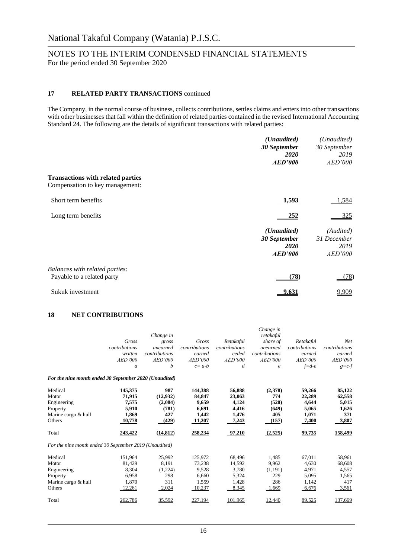#### **17 RELATED PARTY TRANSACTIONS** continued

The Company, in the normal course of business, collects contributions, settles claims and enters into other transactions with other businesses that fall within the definition of related parties contained in the revised International Accounting Standard 24. The following are the details of significant transactions with related parties:

|                                                                             | (Unaudited)    | (Unaudited)    |
|-----------------------------------------------------------------------------|----------------|----------------|
|                                                                             | 30 September   | 30 September   |
|                                                                             | 2020           | 2019           |
|                                                                             | AED'000        | <i>AED'000</i> |
| <b>Transactions with related parties</b><br>Compensation to key management: |                |                |
| Short term benefits                                                         | 1,593          | <u>1,584</u>   |
| Long term benefits                                                          | 252            | 325            |
|                                                                             | (Unaudited)    | (Audited)      |
|                                                                             | 30 September   | 31 December    |
|                                                                             | <i>2020</i>    | 2019           |
|                                                                             | <b>AED'000</b> | <i>AED'000</i> |
| Balances with related parties:                                              |                |                |
| Payable to a related party                                                  | (78)           | <u>(78)</u>    |
| Sukuk investment                                                            | <u>9.631</u>   | 9,909          |

#### **18 NET CONTRIBUTIONS**

|                                                                                       | Gross<br>contributions<br>written<br>AED'000<br>$\mathfrak a$     | Change in<br>gross<br>unearned<br>contributions<br>AED'000<br>b  | Gross<br><i>contributions</i><br>earned<br>AED'000<br>$c = a-b$   | Retakaful<br><i>contributions</i><br>ceded<br>AED'000<br>d            | Change in<br>retakaful<br>share of<br>unearned<br>contributions<br>AED'000<br>$\epsilon$ | Retakaful<br>contributions<br>earned<br><b>AED'000</b><br>$f = d - e$ | <b>Net</b><br>contributions<br>earned<br>AED'000<br>$g=c-f$   |
|---------------------------------------------------------------------------------------|-------------------------------------------------------------------|------------------------------------------------------------------|-------------------------------------------------------------------|-----------------------------------------------------------------------|------------------------------------------------------------------------------------------|-----------------------------------------------------------------------|---------------------------------------------------------------|
| For the nine month ended 30 September 2020 (Unaudited)                                |                                                                   |                                                                  |                                                                   |                                                                       |                                                                                          |                                                                       |                                                               |
| Medical<br>Motor<br>Engineering<br>Property<br>Marine cargo & hull<br>Others<br>Total | 145,375<br>71,915<br>7,575<br>5,910<br>1,869<br>10,778<br>243,422 | 987<br>(12,932)<br>(2,084)<br>(781)<br>427<br>(429)<br>(14, 812) | 144.388<br>84.847<br>9,659<br>6,691<br>1,442<br>11,207<br>258,234 | 56,888<br>23,063<br>4,124<br>4,416<br>1,476<br>7,243<br><u>97,210</u> | (2,378)<br>774<br>(520)<br>(649)<br>405<br>(157)<br>(2,525)                              | 59,266<br>22,289<br>4,644<br>5,065<br>1,071<br>7,400<br>99,735        | 85,122<br>62,558<br>5,015<br>1,626<br>371<br>3,807<br>158,499 |
| For the nine month ended 30 September 2019 (Unaudited)                                |                                                                   |                                                                  |                                                                   |                                                                       |                                                                                          |                                                                       |                                                               |
| Medical<br>Motor<br>Engineering<br>Property<br>Marine cargo & hull<br>Others          | 151.964<br>81.429<br>8,304<br>6.958<br>1.870<br>12,261            | 25.992<br>8.191<br>(1,224)<br>298<br>311<br>2,024                | 125.972<br>73.238<br>9,528<br>6.660<br>1.559<br>10,237            | 68.496<br>14.592<br>3,780<br>5,324<br>1.428<br>8,345                  | 1.485<br>9.962<br>(1,191)<br>229<br>286<br>1,669                                         | 67.011<br>4.630<br>4,971<br>5.095<br>1.142<br>6,676                   | 58,961<br>68,608<br>4,557<br>1,565<br>417<br>3,561            |
| Total                                                                                 | 262,786                                                           | <u>35,592</u>                                                    | 227,194                                                           | 101,965                                                               | 12,440                                                                                   | 89,525                                                                | 137,669                                                       |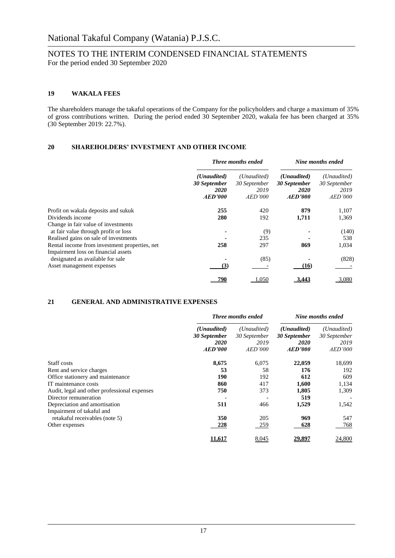#### **19 WAKALA FEES**

The shareholders manage the takaful operations of the Company for the policyholders and charge a maximum of 35% of gross contributions written. During the period ended 30 September 2020, wakala fee has been charged at 35% (30 September 2019: 22.7%).

#### **20 SHAREHOLDERS' INVESTMENT AND OTHER INCOME**

|                                                                                      | <b>Three months ended</b>                                      |                                                | Nine months ended                                              |                                                       |
|--------------------------------------------------------------------------------------|----------------------------------------------------------------|------------------------------------------------|----------------------------------------------------------------|-------------------------------------------------------|
|                                                                                      | ( <i>Unaudited</i> )<br>30 September<br><b>2020</b><br>AED'000 | (Unaudited)<br>30 September<br>2019<br>AED'000 | ( <i>Unaudited</i> )<br>30 September<br><b>2020</b><br>AED'000 | (Unaudited)<br>30 September<br>2019<br><i>AED'000</i> |
| Profit on wakala deposits and sukuk                                                  | 255                                                            | 420                                            | 879                                                            | 1,107                                                 |
| Dividends income                                                                     | 280                                                            | 192                                            | 1,711                                                          | 1,369                                                 |
| Change in fair value of investments<br>at fair value through profit or loss          |                                                                | (9)                                            |                                                                | (140)                                                 |
| Realised gains on sale of investments                                                |                                                                | 235                                            |                                                                | 538                                                   |
| Rental income from investment properties, net<br>Impairment loss on financial assets | 258                                                            | 297                                            | 869                                                            | 1,034                                                 |
| designated as available for sale                                                     |                                                                | (85)                                           |                                                                | (828)                                                 |
| Asset management expenses                                                            | (3)                                                            |                                                | (16)                                                           |                                                       |
|                                                                                      |                                                                | .050                                           | 3.443                                                          | 3,080                                                 |

#### **21 GENERAL AND ADMINISTRATIVE EXPENSES**

|                                              | <b>Three months ended</b>                             |                                                | Nine months ended                                              |                                                |
|----------------------------------------------|-------------------------------------------------------|------------------------------------------------|----------------------------------------------------------------|------------------------------------------------|
|                                              | (Unaudited)<br>30 September<br><i>2020</i><br>AED'000 | (Unaudited)<br>30 September<br>2019<br>AED'000 | ( <i>Unaudited</i> )<br>30 September<br><i>2020</i><br>AED'000 | (Unaudited)<br>30 September<br>2019<br>AED'000 |
|                                              |                                                       |                                                |                                                                |                                                |
| Staff costs                                  | 8,675                                                 | 6,075                                          | 22,059                                                         | 18,699                                         |
| Rent and service charges                     | 53                                                    | 58                                             | 176                                                            | 192                                            |
| Office stationery and maintenance            | 190                                                   | 192                                            | 612                                                            | 609                                            |
| IT maintenance costs                         | 860                                                   | 417                                            | 1,600                                                          | 1,134                                          |
| Audit, legal and other professional expenses | 750                                                   | 373                                            | 1,805                                                          | 1,309                                          |
| Director remuneration                        |                                                       |                                                | 519                                                            |                                                |
| Depreciation and amortisation                | 511                                                   | 466                                            | 1,529                                                          | 1,542                                          |
| Impairment of takaful and                    |                                                       |                                                |                                                                |                                                |
| retakaful receivables (note 5)               | 350                                                   | 205                                            | 969                                                            | 547                                            |
| Other expenses                               | 228                                                   | 259                                            | 628                                                            | 768                                            |
|                                              | 11.617                                                | 8,045                                          | 29,897                                                         | 24,800                                         |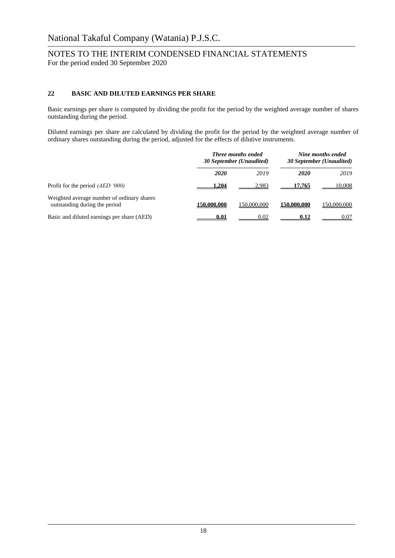#### **22 BASIC AND DILUTED EARNINGS PER SHARE**

Basic earnings per share is computed by dividing the profit for the period by the weighted average number of shares outstanding during the period.

Diluted earnings per share are calculated by dividing the profit for the period by the weighted average number of ordinary shares outstanding during the period, adjusted for the effects of dilutive instruments.

|                                                                             | <b>Three months ended</b><br>30 September (Unaudited) |             | Nine months ended<br>30 September (Unaudited) |             |
|-----------------------------------------------------------------------------|-------------------------------------------------------|-------------|-----------------------------------------------|-------------|
|                                                                             | 2020                                                  | 2019        | <b>2020</b>                                   | 2019        |
| Profit for the period $(AED 000)$                                           | 1.204                                                 | 2,983       | 17.765                                        | 10,008      |
| Weighted average number of ordinary shares<br>outstanding during the period | 150,000,000                                           | 150,000,000 | 150,000,000                                   | 150,000,000 |
| Basic and diluted earnings per share (AED)                                  | 0.01                                                  | 0.02        | 0.12                                          | 0.07        |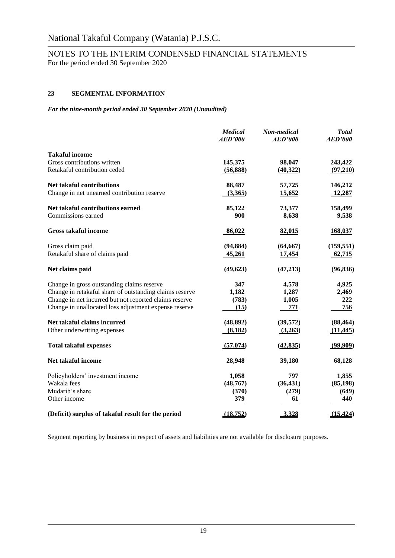# NOTES TO THE INTERIM CONDENSED FINANCIAL STATEMENTS

For the period ended 30 September 2020

### **23 SEGMENTAL INFORMATION**

*For the nine-month period ended 30 September 2020 (Unaudited)*

|                                                         | <b>Medical</b><br><b>AED'000</b> | Non-medical<br>AED'000 | <b>Total</b><br><b>AED'000</b> |
|---------------------------------------------------------|----------------------------------|------------------------|--------------------------------|
| <b>Takaful income</b>                                   |                                  |                        |                                |
| Gross contributions written                             | 145,375                          | 98,047                 | 243,422                        |
| Retakaful contribution ceded                            | (56,888)                         | (40, 322)              | (97,210)                       |
| <b>Net takaful contributions</b>                        | 88,487                           | 57,725                 | 146,212                        |
| Change in net unearned contribution reserve             | (3,365)                          | 15,652                 | 12,287                         |
| Net takaful contributions earned                        | 85,122                           | 73,377                 | 158,499                        |
| Commissions earned                                      | 900                              | 8,638                  | 9,538                          |
| <b>Gross takaful income</b>                             | 86,022                           | 82,015                 | 168,037                        |
| Gross claim paid                                        | (94, 884)                        | (64, 667)              | (159, 551)                     |
| Retakaful share of claims paid                          | 45,261                           | 17,454                 | 62,715                         |
| Net claims paid                                         | (49, 623)                        | (47,213)               | (96, 836)                      |
| Change in gross outstanding claims reserve              | 347                              | 4,578                  | 4,925                          |
| Change in retakaful share of outstanding claims reserve | 1,182                            | 1,287                  | 2,469                          |
| Change in net incurred but not reported claims reserve  | (783)                            | 1,005                  | 222                            |
| Change in unallocated loss adjustment expense reserve   | (15)                             | 771                    | 756                            |
| Net takaful claims incurred                             | (48, 892)                        | (39, 572)              | (88, 464)                      |
| Other underwriting expenses                             | (8,182)                          | (3,263)                | (11, 445)                      |
| <b>Total takaful expenses</b>                           | (57,074)                         | (42, 835)              | (99,909)                       |
| Net takaful income                                      | 28,948                           | 39,180                 | 68,128                         |
| Policyholders' investment income                        | 1,058                            | 797                    | 1,855                          |
| Wakala fees                                             | (48, 767)                        | (36, 431)              | (85, 198)                      |
| Mudarib's share                                         | (370)                            | (279)                  | (649)                          |
| Other income                                            | 379                              | 61                     | 440                            |
| (Deficit) surplus of takaful result for the period      | (18, 752)                        | 3,328                  | (15, 424)                      |

Segment reporting by business in respect of assets and liabilities are not available for disclosure purposes.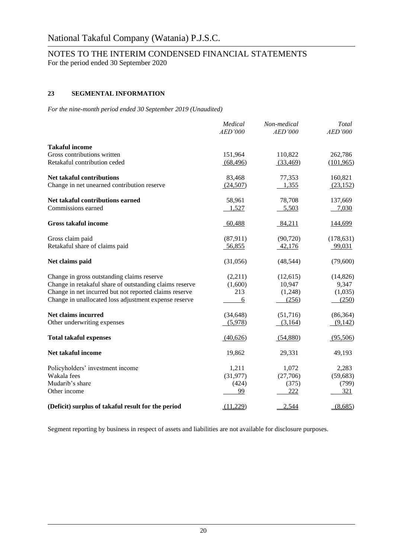# NOTES TO THE INTERIM CONDENSED FINANCIAL STATEMENTS

For the period ended 30 September 2020

### **23 SEGMENTAL INFORMATION**

*For the nine-month period ended 30 September 2019 (Unaudited)*

|                                                         | Medical<br><i>AED'000</i> | Non-medical<br>AED'000 | Total<br><b>AED'000</b> |
|---------------------------------------------------------|---------------------------|------------------------|-------------------------|
| <b>Takaful income</b>                                   |                           |                        |                         |
| Gross contributions written                             | 151,964                   | 110,822                | 262,786                 |
| Retakaful contribution ceded                            | (68, 496)                 | (33, 469)              | (101, 965)              |
| Net takaful contributions                               | 83,468                    | 77,353                 | 160,821                 |
| Change in net unearned contribution reserve             | (24,507)                  | 1,355                  | (23, 152)               |
| Net takaful contributions earned                        | 58,961                    | 78,708                 | 137,669                 |
| Commissions earned                                      | 1,527                     | 5,503                  | 7,030                   |
| <b>Gross takaful income</b>                             | 60,488                    | 84,211                 | <u>144,699</u>          |
| Gross claim paid                                        | (87,911)                  | (90, 720)              | (178, 631)              |
| Retakaful share of claims paid                          | 56,855                    | 42,176                 | 99,031                  |
| Net claims paid                                         | (31,056)                  | (48, 544)              | (79,600)                |
| Change in gross outstanding claims reserve              | (2,211)                   | (12, 615)              | (14, 826)               |
| Change in retakaful share of outstanding claims reserve | (1,600)                   | 10,947                 | 9,347                   |
| Change in net incurred but not reported claims reserve  | 213                       | (1,248)                | (1,035)                 |
| Change in unallocated loss adjustment expense reserve   | 6                         | (256)                  | (250)                   |
| Net claims incurred                                     | (34, 648)                 | (51,716)               | (86, 364)               |
| Other underwriting expenses                             | (5,978)                   | (3,164)                | (9,142)                 |
| <b>Total takaful expenses</b>                           | (40,626)                  | (54,880)               | (95,506)                |
| Net takaful income                                      | 19,862                    | 29,331                 | 49,193                  |
| Policyholders' investment income                        | 1,211                     | 1,072                  | 2,283                   |
| Wakala fees                                             | (31, 977)                 | (27,706)               | (59, 683)               |
| Mudarib's share                                         | (424)                     | (375)                  | (799)                   |
| Other income                                            | 99                        | <u>222</u>             | <u>321</u>              |
| (Deficit) surplus of takaful result for the period      | (11,229)                  | 2,544                  | (8,685)                 |

Segment reporting by business in respect of assets and liabilities are not available for disclosure purposes.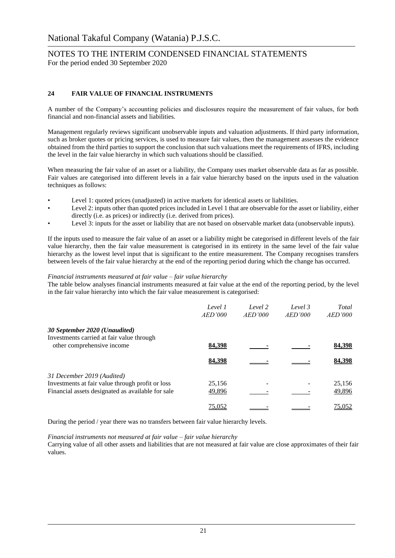#### **24 FAIR VALUE OF FINANCIAL INSTRUMENTS**

A number of the Company's accounting policies and disclosures require the measurement of fair values, for both financial and non-financial assets and liabilities.

Management regularly reviews significant unobservable inputs and valuation adjustments. If third party information, such as broker quotes or pricing services, is used to measure fair values, then the management assesses the evidence obtained from the third parties to support the conclusion that such valuations meet the requirements of IFRS, including the level in the fair value hierarchy in which such valuations should be classified.

When measuring the fair value of an asset or a liability, the Company uses market observable data as far as possible. Fair values are categorised into different levels in a fair value hierarchy based on the inputs used in the valuation techniques as follows:

- Level 1: quoted prices (unadjusted) in active markets for identical assets or liabilities.
- Level 2: inputs other than quoted prices included in Level 1 that are observable for the asset or liability, either directly (i.e. as prices) or indirectly (i.e. derived from prices).
- Level 3: inputs for the asset or liability that are not based on observable market data (unobservable inputs).

If the inputs used to measure the fair value of an asset or a liability might be categorised in different levels of the fair value hierarchy, then the fair value measurement is categorised in its entirety in the same level of the fair value hierarchy as the lowest level input that is significant to the entire measurement. The Company recognises transfers between levels of the fair value hierarchy at the end of the reporting period during which the change has occurred.

#### *Financial instruments measured at fair value – fair value hierarchy*

The table below analyses financial instruments measured at fair value at the end of the reporting period, by the level in the fair value hierarchy into which the fair value measurement is categorised:

|                                                                         | Level 1<br>AED'000 | Level 2<br>AED'000 | Level 3<br>AED'000 | Total<br>AED'000 |
|-------------------------------------------------------------------------|--------------------|--------------------|--------------------|------------------|
| 30 September 2020 (Unaudited)                                           |                    |                    |                    |                  |
| Investments carried at fair value through<br>other comprehensive income | 84,398             |                    |                    | 84,398           |
|                                                                         | 84,398             |                    |                    | 84.398           |
| 31 December 2019 (Audited)                                              |                    |                    |                    |                  |
| Investments at fair value through profit or loss                        | 25,156             |                    |                    | 25,156           |
| Financial assets designated as available for sale                       | 49,896             |                    |                    | 49,896           |
|                                                                         | 75,052             |                    |                    | 75,052           |

During the period / year there was no transfers between fair value hierarchy levels.

*Financial instruments not measured at fair value – fair value hierarchy*

Carrying value of all other assets and liabilities that are not measured at fair value are close approximates of their fair values.